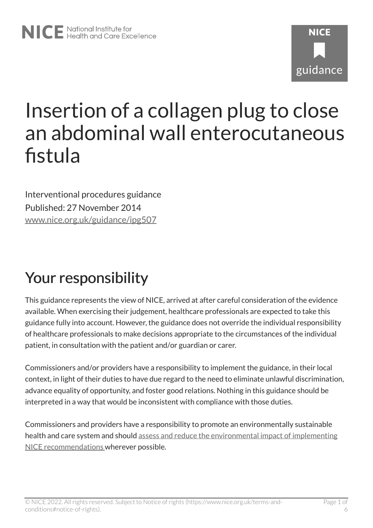# **NICF** guidance

# Insertion of a collagen plug to close an abdominal wall enterocutaneous fistula

Interventional procedures guidance Published: 27 November 2014 [www.nice.org.uk/guidance/ipg507](https://www.nice.org.uk/guidance/ipg507) 

# Your responsibility

This guidance represents the view of NICE, arrived at after careful consideration of the evidence available. When exercising their judgement, healthcare professionals are expected to take this guidance fully into account. However, the guidance does not override the individual responsibility of healthcare professionals to make decisions appropriate to the circumstances of the individual patient, in consultation with the patient and/or guardian or carer.

Commissioners and/or providers have a responsibility to implement the guidance, in their local context, in light of their duties to have due regard to the need to eliminate unlawful discrimination, advance equality of opportunity, and foster good relations. Nothing in this guidance should be interpreted in a way that would be inconsistent with compliance with those duties.

Commissioners and providers have a responsibility to promote an environmentally sustainable health and care system and should [assess and reduce the environmental impact of implementing](https://www.nice.org.uk/about/who-we-are/sustainability)  [NICE recommendations w](https://www.nice.org.uk/about/who-we-are/sustainability)herever possible.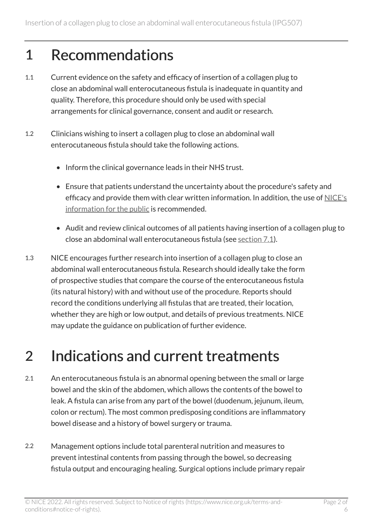#### 1 Recommendations

- 1.1 Current evidence on the safety and efficacy of insertion of a collagen plug to close an abdominal wall enterocutaneous fistula is inadequate in quantity and quality. Therefore, this procedure should only be used with special arrangements for clinical governance, consent and audit or research.
- 1.2 Clinicians wishing to insert a collagen plug to close an abdominal wall enterocutaneous fistula should take the following actions.
	- Inform the clinical governance leads in their NHS trust.
	- Ensure that patients understand the uncertainty about the procedure's safety and efficacy and provide them with clear written information. In addition, the use of [NICE's](http://www.nice.org.uk/guidance/IPG507/InformationForPublic)  [information for the public](http://www.nice.org.uk/guidance/IPG507/InformationForPublic) is recommended.
	- Audit and review clinical outcomes of all patients having insertion of a collagen plug to close an abdominal wall enterocutaneous fistula (see [section](#page-4-0) 7.1).
- 1.3 NICE encourages further research into insertion of a collagen plug to close an abdominal wall enterocutaneous fistula. Research should ideally take the form of prospective studies that compare the course of the enterocutaneous fistula (its natural history) with and without use of the procedure. Reports should record the conditions underlying all fistulas that are treated, their location, whether they are high or low output, and details of previous treatments. NICE may update the guidance on publication of further evidence.

#### 2 Indications and current treatments

- 2.1 An enterocutaneous fistula is an abnormal opening between the small or large bowel and the skin of the abdomen, which allows the contents of the bowel to leak. A fistula can arise from any part of the bowel (duodenum, jejunum, ileum, colon or rectum). The most common predisposing conditions are inflammatory bowel disease and a history of bowel surgery or trauma.
- 2.2 Management options include total parenteral nutrition and measures to prevent intestinal contents from passing through the bowel, so decreasing fistula output and encouraging healing. Surgical options include primary repair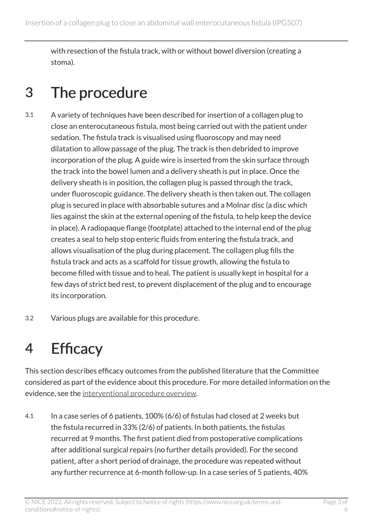with resection of the fistula track, with or without bowel diversion (creating a stoma).

#### 3 The procedure

- 3.1 A variety of techniques have been described for insertion of a collagen plug to close an enterocutaneous fistula, most being carried out with the patient under sedation. The fistula track is visualised using fluoroscopy and may need dilatation to allow passage of the plug. The track is then debrided to improve incorporation of the plug. A guide wire is inserted from the skin surface through the track into the bowel lumen and a delivery sheath is put in place. Once the delivery sheath is in position, the collagen plug is passed through the track, under fluoroscopic guidance. The delivery sheath is then taken out. The collagen plug is secured in place with absorbable sutures and a Molnar disc (a disc which lies against the skin at the external opening of the fistula, to help keep the device in place). A radiopaque flange (footplate) attached to the internal end of the plug creates a seal to help stop enteric fluids from entering the fistula track, and allows visualisation of the plug during placement. The collagen plug fills the fistula track and acts as a scaffold for tissue growth, allowing the fistula to become filled with tissue and to heal. The patient is usually kept in hospital for a few days of strict bed rest, to prevent displacement of the plug and to encourage its incorporation.
- 3.2 Various plugs are available for this procedure.

#### <span id="page-2-0"></span>4 Efficacy

This section describes efficacy outcomes from the published literature that the Committee considered as part of the evidence about this procedure. For more detailed information on the evidence, see the [interventional procedure overview](http://www.nice.org.uk/Guidance/IPG507/Evidence).

4.1 In a case series of 6 patients, 100% (6/6) of fistulas had closed at 2 weeks but the fistula recurred in 33% (2/6) of patients. In both patients, the fistulas recurred at 9 months. The first patient died from postoperative complications after additional surgical repairs (no further details provided). For the second patient, after a short period of drainage, the procedure was repeated without any further recurrence at 6-month follow-up. In a case series of 5 patients, 40%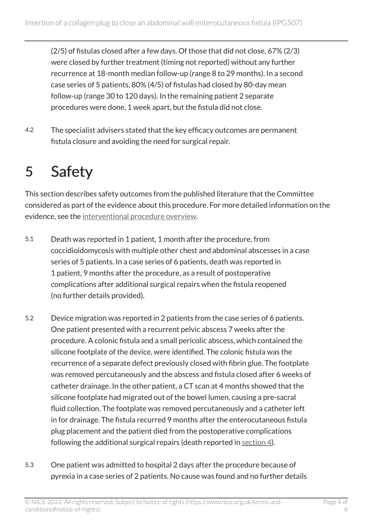(2/5) of fistulas closed after a few days. Of those that did not close, 67% (2/3) were closed by further treatment (timing not reported) without any further recurrence at 18-month median follow-up (range 8 to 29 months). In a second case series of 5 patients, 80% (4/5) of fistulas had closed by 80-day mean follow-up (range 30 to 120 days). In the remaining patient 2 separate procedures were done, 1 week apart, but the fistula did not close.

4.2 The specialist advisers stated that the key efficacy outcomes are permanent fistula closure and avoiding the need for surgical repair.

#### 5 Safety

This section describes safety outcomes from the published literature that the Committee considered as part of the evidence about this procedure. For more detailed information on the evidence, see the [interventional procedure overview](http://www.nice.org.uk/Guidance/IPG507/Evidence).

- 5.1 Death was reported in 1 patient, 1 month after the procedure, from coccidioidomycosis with multiple other chest and abdominal abscesses in a case series of 5 patients. In a case series of 6 patients, death was reported in 1 patient, 9 months after the procedure, as a result of postoperative complications after additional surgical repairs when the fistula reopened (no further details provided).
- 5.2 Device migration was reported in 2 patients from the case series of 6 patients. One patient presented with a recurrent pelvic abscess 7 weeks after the procedure. A colonic fistula and a small pericolic abscess, which contained the silicone footplate of the device, were identified. The colonic fistula was the recurrence of a separate defect previously closed with fibrin glue. The footplate was removed percutaneously and the abscess and fistula closed after 6 weeks of catheter drainage. In the other patient, a CT scan at 4 months showed that the silicone footplate had migrated out of the bowel lumen, causing a pre-sacral fluid collection. The footplate was removed percutaneously and a catheter left in for drainage. The fistula recurred 9 months after the enterocutaneous fistula plug placement and the patient died from the postoperative complications following the additional surgical repairs (death reported in [section](#page-2-0) 4).
- 5.3 One patient was admitted to hospital 2 days after the procedure because of pyrexia in a case series of 2 patients. No cause was found and no further details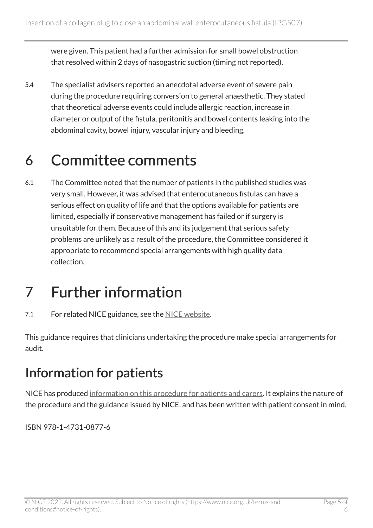were given. This patient had a further admission for small bowel obstruction that resolved within 2 days of nasogastric suction (timing not reported).

5.4 The specialist advisers reported an anecdotal adverse event of severe pain during the procedure requiring conversion to general anaesthetic. They stated that theoretical adverse events could include allergic reaction, increase in diameter or output of the fistula, peritonitis and bowel contents leaking into the abdominal cavity, bowel injury, vascular injury and bleeding.

#### 6 Committee comments

6.1 The Committee noted that the number of patients in the published studies was very small. However, it was advised that enterocutaneous fistulas can have a serious effect on quality of life and that the options available for patients are limited, especially if conservative management has failed or if surgery is unsuitable for them. Because of this and its judgement that serious safety problems are unlikely as a result of the procedure, the Committee considered it appropriate to recommend special arrangements with high quality data collection.

# 7 Further information

7.1 For related NICE guidance, see the [NICE website](https://www.nice.org.uk/).

This guidance requires that clinicians undertaking the procedure make special arrangements for audit.

#### <span id="page-4-0"></span>Information for patients

NICE has produced [information on this procedure for patients and carers](http://www.nice.org.uk/guidance/IPG507/InformationForPublic). It explains the nature of the procedure and the guidance issued by NICE, and has been written with patient consent in mind.

ISBN 978-1-4731-0877-6